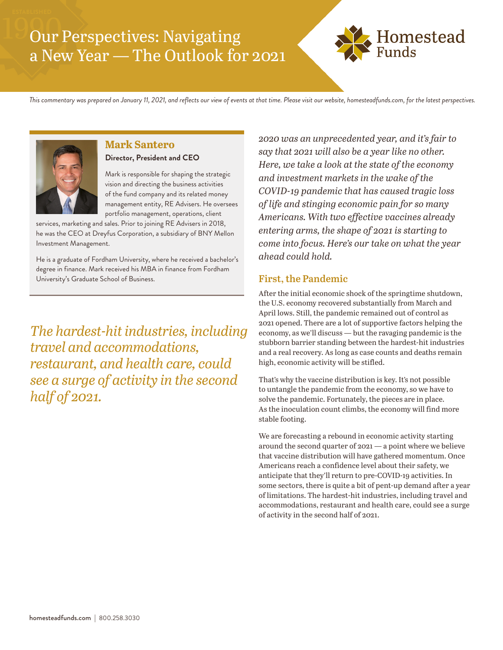# Our Perspectives: Navigating a New Year — The Outlook for 2021



*This commentary was prepared on January 11, 2021, and reflects our view of events at that time. Please visit our website, homesteadfunds.com, for the latest perspectives.*



#### **Mark Santero**

#### **Director, President and CEO**

Mark is responsible for shaping the strategic vision and directing the business activities of the fund company and its related money management entity, RE Advisers. He oversees portfolio management, operations, client

services, marketing and sales. Prior to joining RE Advisers in 2018, he was the CEO at Dreyfus Corporation, a subsidiary of BNY Mellon Investment Management.

He is a graduate of Fordham University, where he received a bachelor's degree in finance. Mark received his MBA in finance from Fordham University's Graduate School of Business.

*The hardest-hit industries, including travel and accommodations, restaurant, and health care, could see a surge of activity in the second half of 2021.*

*2020 was an unprecedented year, and it's fair to say that 2021 will also be a year like no other. Here, we take a look at the state of the economy and investment markets in the wake of the COVID-19 pandemic that has caused tragic loss of life and stinging economic pain for so many Americans. With two effective vaccines already entering arms, the shape of 2021 is starting to come into focus. Here's our take on what the year ahead could hold.*

### **First, the Pandemic**

After the initial economic shock of the springtime shutdown, the U.S. economy recovered substantially from March and April lows. Still, the pandemic remained out of control as 2021 opened. There are a lot of supportive factors helping the economy, as we'll discuss — but the ravaging pandemic is the stubborn barrier standing between the hardest-hit industries and a real recovery. As long as case counts and deaths remain high, economic activity will be stifled.

That's why the vaccine distribution is key. It's not possible to untangle the pandemic from the economy, so we have to solve the pandemic. Fortunately, the pieces are in place. As the inoculation count climbs, the economy will find more stable footing.

We are forecasting a rebound in economic activity starting around the second quarter of 2021 — a point where we believe that vaccine distribution will have gathered momentum. Once Americans reach a confidence level about their safety, we anticipate that they'll return to pre-COVID-19 activities. In some sectors, there is quite a bit of pent-up demand after a year of limitations. The hardest-hit industries, including travel and accommodations, restaurant and health care, could see a surge of activity in the second half of 2021.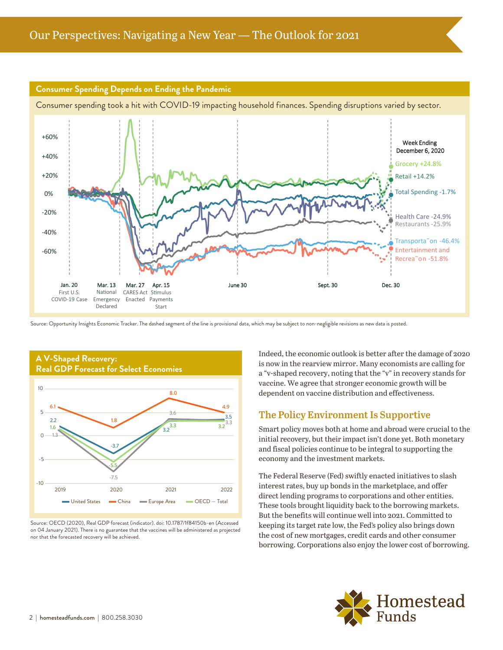

Source: Opportunity Insights Economic Tracker. The dashed segment of the line is provisional data, which may be subject to non-negligible revisions as new data is posted.



Source: OECD (2020), Real GDP forecast (indicator). doi: 10.1787/1f84150b-en (Accessed on 04 January 2021). There is no guarantee that the vaccines will be administered as projected nor that the forecasted recovery will be achieved.

Indeed, the economic outlook is better after the damage of 2020 is now in the rearview mirror. Many economists are calling for a "v-shaped recovery, noting that the "v" in recovery stands for vaccine. We agree that stronger economic growth will be dependent on vaccine distribution and effectiveness.

#### **The Policy Environment Is Supportive**

Smart policy moves both at home and abroad were crucial to the initial recovery, but their impact isn't done yet. Both monetary and fiscal policies continue to be integral to supporting the economy and the investment markets.

The Federal Reserve (Fed) swiftly enacted initiatives to slash interest rates, buy up bonds in the marketplace, and offer direct lending programs to corporations and other entities. These tools brought liquidity back to the borrowing markets. But the benefits will continue well into 2021. Committed to keeping its target rate low, the Fed's policy also brings down the cost of new mortgages, credit cards and other consumer borrowing. Corporations also enjoy the lower cost of borrowing.

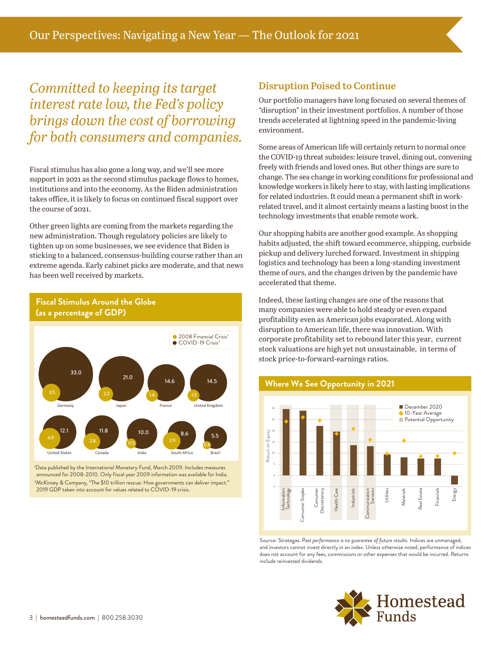*Committed to keeping its target interest rate low, the Fed's policy brings down the cost of borrowing for both consumers and companies.*

Fiscal stimulus has also gone a long way, and we'll see more support in 2021 as the second stimulus package flows to homes, institutions and into the economy. As the Biden administration takes office, it is likely to focus on continued fiscal support over the course of 2021.

Other green lights are coming from the markets regarding the new administration. Though regulatory policies are likely to tighten up on some businesses, we see evidence that Biden is sticking to a balanced, consensus-building course rather than an extreme agenda. Early cabinet picks are moderate, and that news has been well received by markets.



**Fiscal Stimulus Around the Globe (as a percentage of GDP)**

1 Data published by the International Monetary Fund, March 2009. Includes measures announced for 2008-2010. Only fiscal year 2009 information was available for India. 2 McKinsey & Company, "The \$10 trillion rescue: How governments can deliver impact." 2019 GDP taken into account for values related to COVID-19 crisis.

# **Disruption Poised to Continue**

Our portfolio managers have long focused on several themes of "disruption" in their investment portfolios. A number of those trends accelerated at lightning speed in the pandemic-living environment.

Some areas of American life will certainly return to normal once the COVID-19 threat subsides: leisure travel, dining out, convening freely with friends and loved ones. But other things are sure to change. The sea change in working conditions for professional and knowledge workers is likely here to stay, with lasting implications for related industries. It could mean a permanent shift in workrelated travel, and it almost certainly means a lasting boost in the technology investments that enable remote work.

Our shopping habits are another good example. As shopping habits adjusted, the shift toward ecommerce, shipping, curbside pickup and delivery lurched forward. Investment in shipping logistics and technology has been a long-standing investment theme of ours, and the changes driven by the pandemic have accelerated that theme.

Indeed, these lasting changes are one of the reasons that many companies were able to hold steady or even expand profitability even as American jobs evaporated. Along with disruption to American life, there was innovation. With corporate profitability set to rebound later this year, current stock valuations are high yet not unsustainable, in terms of stock price-to-forward-earnings ratios.





Source: Strategas. *Past performance is no guarantee of future results.* Indices are unmanaged, and investors cannot invest directly in an index. Unless otherwise noted, performance of indices does not account for any fees, commissions or other expenses that would be incurred. Returns include reinvested dividends.